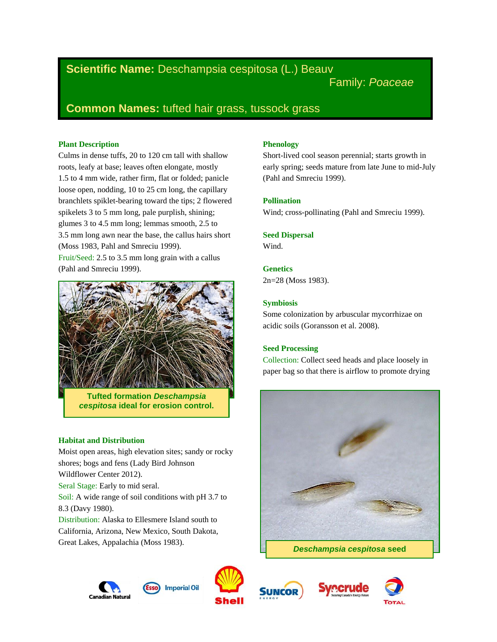# **Scientific Name:** Deschampsia cespitosa (L.) Beauv

Family: *Poaceae*

# **Common Names:** tufted hair grass, tussock grass

# **Plant Description**

Culms in dense tuffs, 20 to 120 cm tall with shallow roots, leafy at base; leaves often elongate, mostly 1.5 to 4 mm wide, rather firm, flat or folded; panicle loose open, nodding, 10 to 25 cm long, the capillary branchlets spiklet-bearing toward the tips; 2 flowered spikelets 3 to 5 mm long, pale purplish, shining; glumes 3 to 4.5 mm long; lemmas smooth, 2.5 to 3.5 mm long awn near the base, the callus hairs short (Moss 1983, Pahl and Smreciu 1999). Fruit/Seed: 2.5 to 3.5 mm long grain with a callus (Pahl and Smreciu 1999).



**Tufted formation** *Deschampsia cespitosa* **ideal for erosion control.**

## **Habitat and Distribution**

Moist open areas, high elevation sites; sandy or rocky shores; bogs and fens (Lady Bird Johnson Wildflower Center 2012). Seral Stage: Early to mid seral. Soil: A wide range of soil conditions with pH 3.7 to 8.3 (Davy 1980). Distribution: Alaska to Ellesmere Island south to California, Arizona, New Mexico, South Dakota, Great Lakes, Appalachia (Moss 1983).

# **Phenology**

Short-lived cool season perennial; starts growth in early spring; seeds mature from late June to mid-July (Pahl and Smreciu 1999).

# **Pollination**

Wind; cross-pollinating (Pahl and Smreciu 1999).

# **Seed Dispersal**

Wind.

**Genetics** 2n=28 (Moss 1983).

# **Symbiosis**

Some colonization by arbuscular mycorrhizae on acidic soils (Goransson et al. 2008).

# **Seed Processing**

Collection: Collect seed heads and place loosely in paper bag so that there is airflow to promote drying









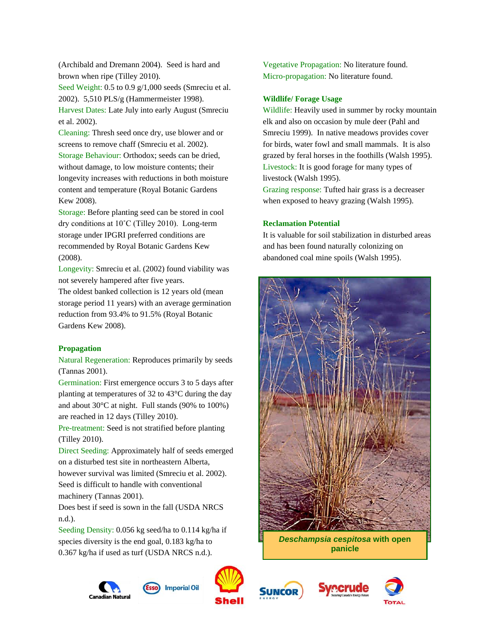(Archibald and Dremann 2004). Seed is hard and brown when ripe (Tilley 2010).

Seed Weight: 0.5 to 0.9 g/1,000 seeds (Smreciu et al. 2002). 5,510 PLS/g (Hammermeister 1998).

Harvest Dates: Late July into early August (Smreciu et al. 2002).

Cleaning: Thresh seed once dry, use blower and or screens to remove chaff (Smreciu et al. 2002). Storage Behaviour: Orthodox; seeds can be dried, without damage, to low moisture contents; their longevity increases with reductions in both moisture content and temperature (Royal Botanic Gardens Kew 2008).

Storage: Before planting seed can be stored in cool dry conditions at 10˚C (Tilley 2010). Long-term storage under IPGRI preferred conditions are recommended by Royal Botanic Gardens Kew (2008).

Longevity: Smreciu et al. (2002) found viability was not severely hampered after five years.

The oldest banked collection is 12 years old (mean storage period 11 years) with an average germination reduction from 93.4% to 91.5% (Royal Botanic Gardens Kew 2008).

## **Propagation**

Natural Regeneration: Reproduces primarily by seeds (Tannas 2001).

Germination: First emergence occurs 3 to 5 days after planting at temperatures of 32 to 43°C during the day and about 30°C at night. Full stands (90% to 100%) are reached in 12 days (Tilley 2010).

Pre-treatment: Seed is not stratified before planting (Tilley 2010).

Direct Seeding: Approximately half of seeds emerged on a disturbed test site in northeastern Alberta,

however survival was limited (Smreciu et al. 2002). Seed is difficult to handle with conventional machinery (Tannas 2001).

Does best if seed is sown in the fall (USDA NRCS n.d.).

Seeding Density: 0.056 kg seed/ha to 0.114 kg/ha if species diversity is the end goal, 0.183 kg/ha to 0.367 kg/ha if used as turf (USDA NRCS n.d.).





Vegetative Propagation: No literature found. Micro-propagation: No literature found.

## **Wildlife/ Forage Usage**

Wildlife: Heavily used in summer by rocky mountain elk and also on occasion by mule deer (Pahl and Smreciu 1999). In native meadows provides cover for birds, water fowl and small mammals. It is also grazed by feral horses in the foothills (Walsh 1995). Livestock: It is good forage for many types of livestock (Walsh 1995).

Grazing response: Tufted hair grass is a decreaser when exposed to heavy grazing (Walsh 1995).

## **Reclamation Potential**

It is valuable for soil stabilization in disturbed areas and has been found naturally colonizing on abandoned coal mine spoils (Walsh 1995).



**panicle**



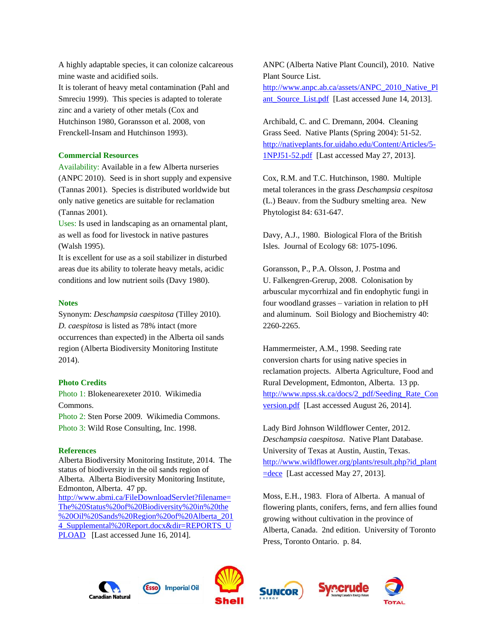A highly adaptable species, it can colonize calcareous mine waste and acidified soils. It is tolerant of heavy metal contamination (Pahl and Smreciu 1999). This species is adapted to tolerate zinc and a variety of other metals (Cox and Hutchinson 1980, Goransson et al. 2008, von Frenckell-Insam and Hutchinson 1993).

### **Commercial Resources**

Availability: Available in a few Alberta nurseries (ANPC 2010). Seed is in short supply and expensive (Tannas 2001). Species is distributed worldwide but only native genetics are suitable for reclamation (Tannas 2001).

Uses: Is used in landscaping as an ornamental plant, as well as food for livestock in native pastures (Walsh 1995).

It is excellent for use as a soil stabilizer in disturbed areas due its ability to tolerate heavy metals, acidic conditions and low nutrient soils (Davy 1980).

### **Notes**

Synonym: *Deschampsia caespitosa* (Tilley 2010). *D. caespitosa* is listed as 78% intact (more occurrences than expected) in the Alberta oil sands region (Alberta Biodiversity Monitoring Institute 2014).

#### **Photo Credits**

Photo 1: Blokenearexeter 2010. Wikimedia Commons.

Photo 2: Sten Porse 2009. Wikimedia Commons. Photo 3: Wild Rose Consulting, Inc. 1998.

#### **References**

Alberta Biodiversity Monitoring Institute, 2014. The status of biodiversity in the oil sands region of Alberta. Alberta Biodiversity Monitoring Institute, Edmonton, Alberta. 47 pp. [http://www.abmi.ca/FileDownloadServlet?filename=](http://www.abmi.ca/FileDownloadServlet?filename=The%20Status%20of%20Biodiversity%20in%20the%20Oil%20Sands%20Region%20of%20Alberta_2014_Supplemental%20Report.docx&dir=REPORTS_UPLOAD) [The%20Status%20of%20Biodiversity%20in%20the](http://www.abmi.ca/FileDownloadServlet?filename=The%20Status%20of%20Biodiversity%20in%20the%20Oil%20Sands%20Region%20of%20Alberta_2014_Supplemental%20Report.docx&dir=REPORTS_UPLOAD) [%20Oil%20Sands%20Region%20of%20Alberta\\_201](http://www.abmi.ca/FileDownloadServlet?filename=The%20Status%20of%20Biodiversity%20in%20the%20Oil%20Sands%20Region%20of%20Alberta_2014_Supplemental%20Report.docx&dir=REPORTS_UPLOAD) 4 Supplemental%20Report.docx&dir=REPORTS\_U [PLOAD](http://www.abmi.ca/FileDownloadServlet?filename=The%20Status%20of%20Biodiversity%20in%20the%20Oil%20Sands%20Region%20of%20Alberta_2014_Supplemental%20Report.docx&dir=REPORTS_UPLOAD) [Last accessed June 16, 2014].

ANPC (Alberta Native Plant Council), 2010. Native Plant Source List. [http://www.anpc.ab.ca/assets/ANPC\\_2010\\_Native\\_Pl](http://www.anpc.ab.ca/assets/ANPC_2010_Native_Plant_Source_List.pdf) ant Source List.pdf [Last accessed June 14, 2013].

Archibald, C. and C. Dremann, 2004. Cleaning Grass Seed. Native Plants (Spring 2004): 51-52. [http://nativeplants.for.uidaho.edu/Content/Articles/5-](http://nativeplants.for.uidaho.edu/Content/Articles/5-1NPJ51-52.pdf) [1NPJ51-52.pdf](http://nativeplants.for.uidaho.edu/Content/Articles/5-1NPJ51-52.pdf) [Last accessed May 27, 2013].

Cox, R.M. and T.C. Hutchinson, 1980. Multiple metal tolerances in the grass *Deschampsia cespitosa*  (L.) Beauv. from the Sudbury smelting area. New Phytologist 84: 631-647.

Davy, A.J., 1980. Biological Flora of the British Isles. Journal of Ecology 68: 1075-1096.

Goransson, P., P.A. Olsson, J. Postma and U. Falkengren-Grerup, 2008. Colonisation by arbuscular mycorrhizal and fin endophytic fungi in four woodland grasses – variation in relation to pH and aluminum. Soil Biology and Biochemistry 40: 2260-2265.

Hammermeister, A.M., 1998. Seeding rate conversion charts for using native species in reclamation projects. Alberta Agriculture, Food and Rural Development, Edmonton, Alberta. 13 pp. [http://www.npss.sk.ca/docs/2\\_pdf/Seeding\\_Rate\\_Con](http://www.npss.sk.ca/docs/2_pdf/Seeding_Rate_Conversion.pdf) [version.pdf](http://www.npss.sk.ca/docs/2_pdf/Seeding_Rate_Conversion.pdf) [Last accessed August 26, 2014].

Lady Bird Johnson Wildflower Center, 2012. *Deschampsia caespitosa*. Native Plant Database. University of Texas at Austin, Austin, Texas. [http://www.wildflower.org/plants/result.php?id\\_plant](http://www.wildflower.org/plants/result.php?id_plant=dece) [=dece](http://www.wildflower.org/plants/result.php?id_plant=dece) [Last accessed May 27, 2013].

Moss, E.H., 1983. Flora of Alberta. A manual of flowering plants, conifers, ferns, and fern allies found growing without cultivation in the province of Alberta, Canada. 2nd edition. University of Toronto Press, Toronto Ontario. p. 84.

**ecrude**